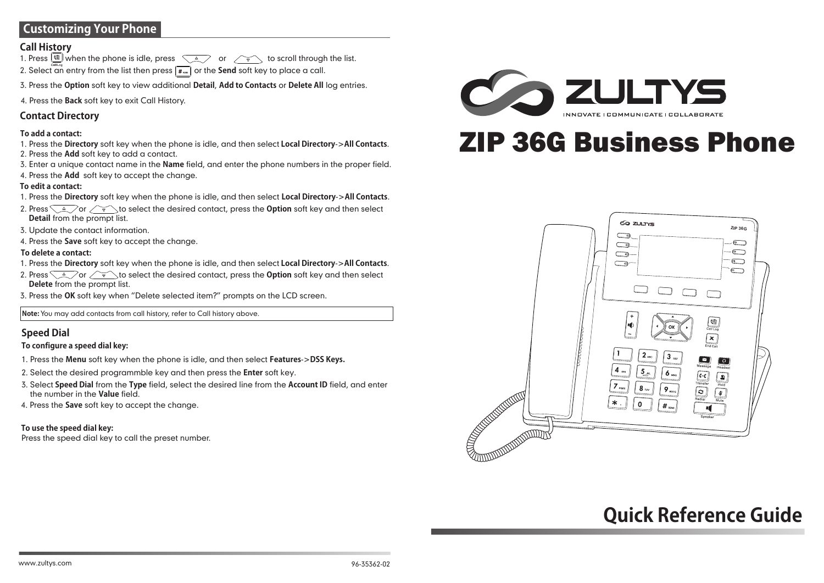# **Customizing Your Phone**

#### **Call History**

1. Press  $\Box$  when the phone is idle, press  $\Diamond$  or  $\Diamond$  to scroll through the list. 2. Select an entry from the list then press  $\boxed{\mathbf{f}_{\text{max}}}$  or the **Send** soft key to place a call.

3. Press the **Option** soft key to view additional **Detail**, **Add to Contacts** or **Delete All** log entries.

4. Press the **Back** soft key to exit Call History.

#### **Contact Directory**

#### **To add a contact:**

- 1. Press the **Directory** soft key when the phone is idle, and then select **Local Directory**->**All Contacts**. 2. Press the **Add** soft key to add a contact.
- 3. Enter a unique contact name in the **Name** field, and enter the phone numbers in the proper field.
- 4. Press the **Add** soft key to accept the change.

#### **To edit a contact:**

- 1. Press the **Directory** soft key when the phone is idle, and then select **Local Directory**->**All Contacts**.
- 2. Press  $\sqrt{2}$  or  $\sqrt{v}$  to select the desired contact, press the **Option** soft key and then select **Detail** from the prompt list.
- 3. Update the contact information.
- 4. Press the **Save** soft key to accept the change.

#### **To delete a contact:**

- 1. Press the **Directory** soft key when the phone is idle, and then select **Local Directory**->**All Contacts**.
- 2. Press  $\sqrt{2}$  or  $\sqrt{v}$  to select the desired contact, press the **Option** soft key and then select **Delete** from the prompt list.
- 3. Press the **OK** soft key when "Delete selected item?" prompts on the LCD screen.

**Note:** You may add contacts from call history, refer to Call history above.

#### **Speed Dial**

#### **To configure a speed dial key:**

- 1. Press the **Menu** soft key when the phone is idle, and then select **Features**->**DSS Keys.**
- 2. Select the desired programmble key and then press the **Enter** soft key.
- 3. Select **Speed Dial** from the **Type** field, select the desired line from the **Account ID** field, and enter the number in the **Value** field.
- 4. Press the **Save** soft key to accept the change.

**To use the speed dial key:** Press the speed dial key to call the preset number.



# ZIP 36G Business Phone



# **Quick Reference Guide**